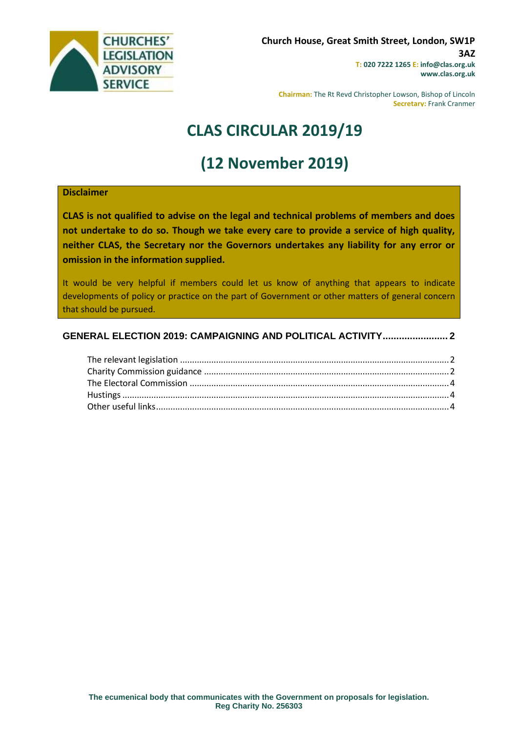

**Chairman:** The Rt Revd Christopher Lowson, Bishop of Lincoln **Secretary:** Frank Cranmer

# **CLAS CIRCULAR 2019/19**

# **(12 November 2019)**

#### **Disclaimer**

**CLAS is not qualified to advise on the legal and technical problems of members and does not undertake to do so. Though we take every care to provide a service of high quality, neither CLAS, the Secretary nor the Governors undertakes any liability for any error or omission in the information supplied.**

It would be very helpful if members could let us know of anything that appears to indicate developments of policy or practice on the part of Government or other matters of general concern that should be pursued.

### **[GENERAL ELECTION 2019: CAMPAIGNING AND POLITICAL ACTIVITY........................](#page-1-0) 2**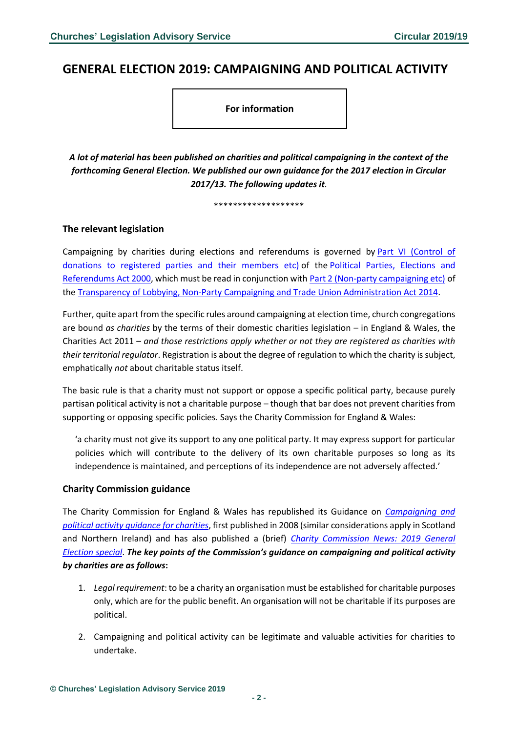## <span id="page-1-0"></span>**GENERAL ELECTION 2019: CAMPAIGNING AND POLITICAL ACTIVITY**

**For information**

*A lot of material has been published on charities and political campaigning in the context of the forthcoming General Election. We published our own guidance for the 2017 election in Circular 2017/13. The following updates it.*

\*\*\*\*\*\*\*\*\*\*\*\*\*\*\*\*\*\*\*

### <span id="page-1-1"></span>**The relevant legislation**

Campaigning by charities during elections and referendums is governed by [Part VI \(Control of](https://www.legislation.gov.uk/ukpga/2000/41/part/IV)  [donations to registered parties and their members etc\)](https://www.legislation.gov.uk/ukpga/2000/41/part/IV) of the [Political Parties, Elections and](https://www.legislation.gov.uk/ukpga/2000/41/contents)  [Referendums Act 2000,](https://www.legislation.gov.uk/ukpga/2000/41/contents) which must be read in conjunction with [Part 2 \(Non-party campaigning etc\)](https://www.legislation.gov.uk/ukpga/2014/4/part/2/enacted) of the [Transparency of Lobbying, Non-Party Campaigning and Trade Union Administration Act 2014.](https://www.legislation.gov.uk/ukpga/2014/4/contents/enacted)

Further, quite apart from the specific rules around campaigning at election time, church congregations are bound *as charities* by the terms of their domestic charities legislation – in England & Wales, the Charities Act 2011 – *and those restrictions apply whether or not they are registered as charities with their territorial regulator*. Registration is about the degree of regulation to which the charity is subject, emphatically *not* about charitable status itself.

The basic rule is that a charity must not support or oppose a specific political party, because purely partisan political activity is not a charitable purpose – though that bar does not prevent charities from supporting or opposing specific policies. Says the Charity Commission for England & Wales:

'a charity must not give its support to any one political party. It may express support for particular policies which will contribute to the delivery of its own charitable purposes so long as its independence is maintained, and perceptions of its independence are not adversely affected.'

#### <span id="page-1-2"></span>**Charity Commission guidance**

The Charity Commission for England & Wales has republished its Guidance on *[Campaigning and](https://www.gov.uk/government/publications/speaking-out-guidance-on-campaigning-and-political-activity-by-charities-cc9/speaking-out-guidance-on-campaigning-and-political-activity-by-charities)  [political activity guidance for charities](https://www.gov.uk/government/publications/speaking-out-guidance-on-campaigning-and-political-activity-by-charities-cc9/speaking-out-guidance-on-campaigning-and-political-activity-by-charities)*, first published in 2008 (similar considerations apply in Scotland and Northern Ireland) and has also published a (brief) *[Charity Commission News: 2019 General](https://www.gov.uk/government/publications/charity-commission-news-2019-general-election-special/charity-commission-news-2019-general-election-special)  [Election special](https://www.gov.uk/government/publications/charity-commission-news-2019-general-election-special/charity-commission-news-2019-general-election-special)*. *The key points of the Commission's guidance on campaigning and political activity by charities are as follows***:**

- 1. *Legal requirement*: to be a charity an organisation must be established for charitable purposes only, which are for the public benefit. An organisation will not be charitable if its purposes are political.
- 2. Campaigning and political activity can be legitimate and valuable activities for charities to undertake.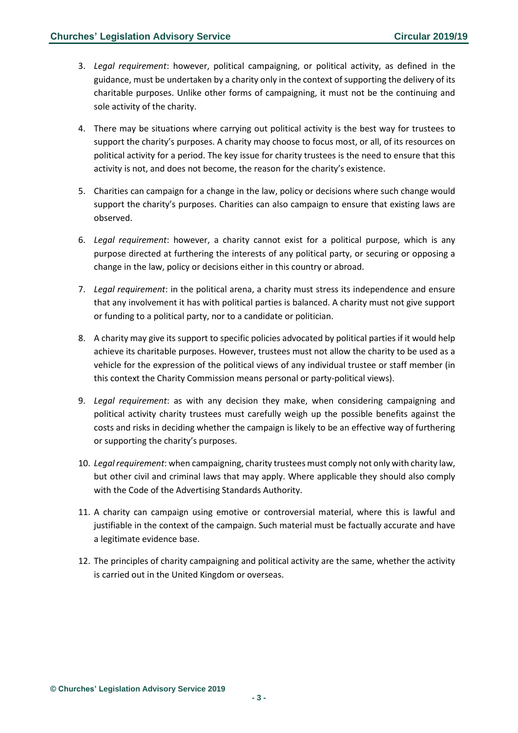- 3. *Legal requirement*: however, political campaigning, or political activity, as defined in the guidance, must be undertaken by a charity only in the context of supporting the delivery of its charitable purposes. Unlike other forms of campaigning, it must not be the continuing and sole activity of the charity.
- 4. There may be situations where carrying out political activity is the best way for trustees to support the charity's purposes. A charity may choose to focus most, or all, of its resources on political activity for a period. The key issue for charity trustees is the need to ensure that this activity is not, and does not become, the reason for the charity's existence.
- 5. Charities can campaign for a change in the law, policy or decisions where such change would support the charity's purposes. Charities can also campaign to ensure that existing laws are observed.
- 6. *Legal requirement*: however, a charity cannot exist for a political purpose, which is any purpose directed at furthering the interests of any political party, or securing or opposing a change in the law, policy or decisions either in this country or abroad.
- 7. *Legal requirement*: in the political arena, a charity must stress its independence and ensure that any involvement it has with political parties is balanced. A charity must not give support or funding to a political party, nor to a candidate or politician.
- 8. A charity may give its support to specific policies advocated by political parties if it would help achieve its charitable purposes. However, trustees must not allow the charity to be used as a vehicle for the expression of the political views of any individual trustee or staff member (in this context the Charity Commission means personal or party-political views).
- 9. *Legal requirement*: as with any decision they make, when considering campaigning and political activity charity trustees must carefully weigh up the possible benefits against the costs and risks in deciding whether the campaign is likely to be an effective way of furthering or supporting the charity's purposes.
- 10. *Legal requirement*: when campaigning, charity trustees must comply not only with charity law, but other civil and criminal laws that may apply. Where applicable they should also comply with the Code of the Advertising Standards Authority.
- 11. A charity can campaign using emotive or controversial material, where this is lawful and justifiable in the context of the campaign. Such material must be factually accurate and have a legitimate evidence base.
- 12. The principles of charity campaigning and political activity are the same, whether the activity is carried out in the United Kingdom or overseas.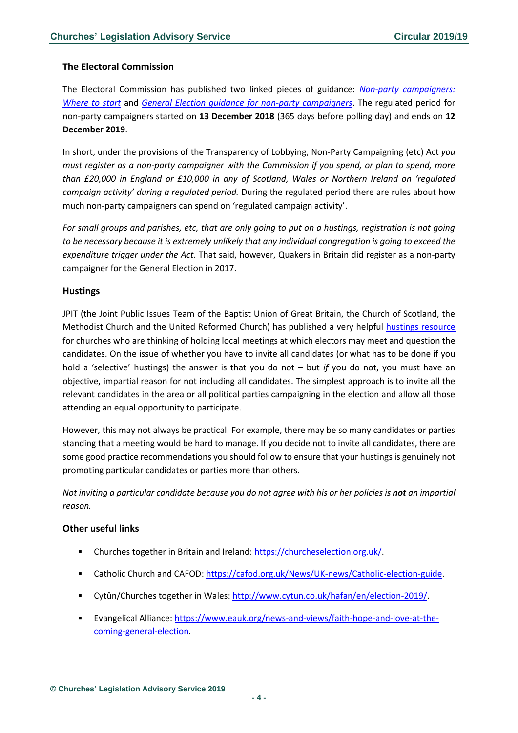### <span id="page-3-0"></span>**The Electoral Commission**

The Electoral Commission has published two linked pieces of guidance: *[Non-party campaigners:](https://www.electoralcommission.org.uk/non-party-campaigners-where-start)  [Where to start](https://www.electoralcommission.org.uk/non-party-campaigners-where-start)* and *[General Election guidance for non-party campaigners](https://www.electoralcommission.org.uk/i-am-a/party-or-campaigner/non-party-campaigner-2019-elections)*. The regulated period for non-party campaigners started on **13 December 2018** (365 days before polling day) and ends on **12 December 2019**.

In short, under the provisions of the Transparency of Lobbying, Non-Party Campaigning (etc) Act *you must register as a non-party campaigner with the Commission if you spend, or plan to spend, more than £20,000 in England or £10,000 in any of Scotland, Wales or Northern Ireland on 'regulated campaign activity' during a regulated period.* During the regulated period there are rules about how much non-party campaigners can spend on 'regulated campaign activity'.

*For small groups and parishes, etc, that are only going to put on a hustings, registration is not going to be necessary because it is extremely unlikely that any individual congregation is going to exceed the expenditure trigger under the Act*. That said, however, Quakers in Britain did register as a non-party campaigner for the General Election in 2017.

#### <span id="page-3-1"></span>**Hustings**

JPIT (the Joint Public Issues Team of the Baptist Union of Great Britain, the Church of Scotland, the Methodist Church and the United Reformed Church) has published a very helpful [hustings resource](http://www.jointpublicissues.org.uk/wp-content/uploads/2019/11/Hustings-Resource-2019.pdf) for churches who are thinking of holding local meetings at which electors may meet and question the candidates. On the issue of whether you have to invite all candidates (or what has to be done if you hold a 'selective' hustings) the answer is that you do not – but *if* you do not, you must have an objective, impartial reason for not including all candidates. The simplest approach is to invite all the relevant candidates in the area or all political parties campaigning in the election and allow all those attending an equal opportunity to participate.

However, this may not always be practical. For example, there may be so many candidates or parties standing that a meeting would be hard to manage. If you decide not to invite all candidates, there are some good practice recommendations you should follow to ensure that your hustings is genuinely not promoting particular candidates or parties more than others.

*Not inviting a particular candidate because you do not agree with his or her policies is not an impartial reason.*

#### <span id="page-3-2"></span>**Other useful links**

- Churches together in Britain and Ireland: [https://churcheselection.org.uk/.](https://churcheselection.org.uk/)
- Catholic Church and CAFOD: [https://cafod.org.uk/News/UK-news/Catholic-election-guide.](https://cafod.org.uk/News/UK-news/Catholic-election-guide)
- Cytûn/Churches together in Wales: [http://www.cytun.co.uk/hafan/en/election-2019/.](http://www.cytun.co.uk/hafan/en/election-2019/)
- Evangelical Alliance: [https://www.eauk.org/news-and-views/faith-hope-and-love-at-the](https://www.eauk.org/news-and-views/faith-hope-and-love-at-the-coming-general-election)[coming-general-election.](https://www.eauk.org/news-and-views/faith-hope-and-love-at-the-coming-general-election)